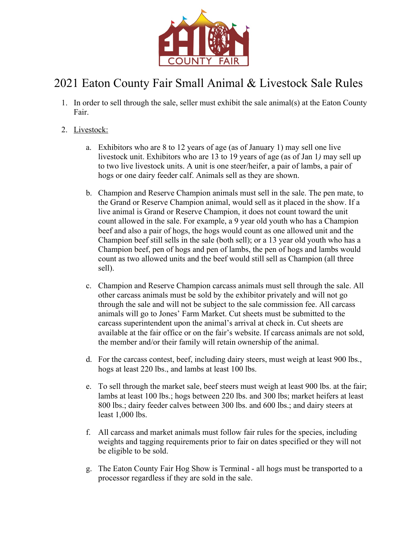

## 2021 Eaton County Fair Small Animal & Livestock Sale Rules

- 1. In order to sell through the sale, seller must exhibit the sale animal(s) at the Eaton County Fair.
- 2. Livestock:
	- a. Exhibitors who are 8 to 12 years of age (as of January 1) may sell one live livestock unit. Exhibitors who are 13 to 19 years of age (as of Jan 1*)* may sell up to two live livestock units. A unit is one steer/heifer, a pair of lambs, a pair of hogs or one dairy feeder calf. Animals sell as they are shown.
	- b. Champion and Reserve Champion animals must sell in the sale. The pen mate, to the Grand or Reserve Champion animal, would sell as it placed in the show. If a live animal is Grand or Reserve Champion, it does not count toward the unit count allowed in the sale. For example, a 9 year old youth who has a Champion beef and also a pair of hogs, the hogs would count as one allowed unit and the Champion beef still sells in the sale (both sell); or a 13 year old youth who has a Champion beef, pen of hogs and pen of lambs, the pen of hogs and lambs would count as two allowed units and the beef would still sell as Champion (all three sell).
	- c. Champion and Reserve Champion carcass animals must sell through the sale. All other carcass animals must be sold by the exhibitor privately and will not go through the sale and will not be subject to the sale commission fee. All carcass animals will go to Jones' Farm Market. Cut sheets must be submitted to the carcass superintendent upon the animal's arrival at check in. Cut sheets are available at the fair office or on the fair's website. If carcass animals are not sold, the member and/or their family will retain ownership of the animal.
	- d. For the carcass contest, beef, including dairy steers, must weigh at least 900 lbs., hogs at least 220 lbs., and lambs at least 100 lbs.
	- e. To sell through the market sale, beef steers must weigh at least 900 lbs. at the fair; lambs at least 100 lbs.; hogs between 220 lbs. and 300 lbs; market heifers at least 800 lbs.; dairy feeder calves between 300 lbs. and 600 lbs.; and dairy steers at least 1,000 lbs.
	- f. All carcass and market animals must follow fair rules for the species, including weights and tagging requirements prior to fair on dates specified or they will not be eligible to be sold.
	- g. The Eaton County Fair Hog Show is Terminal all hogs must be transported to a processor regardless if they are sold in the sale.